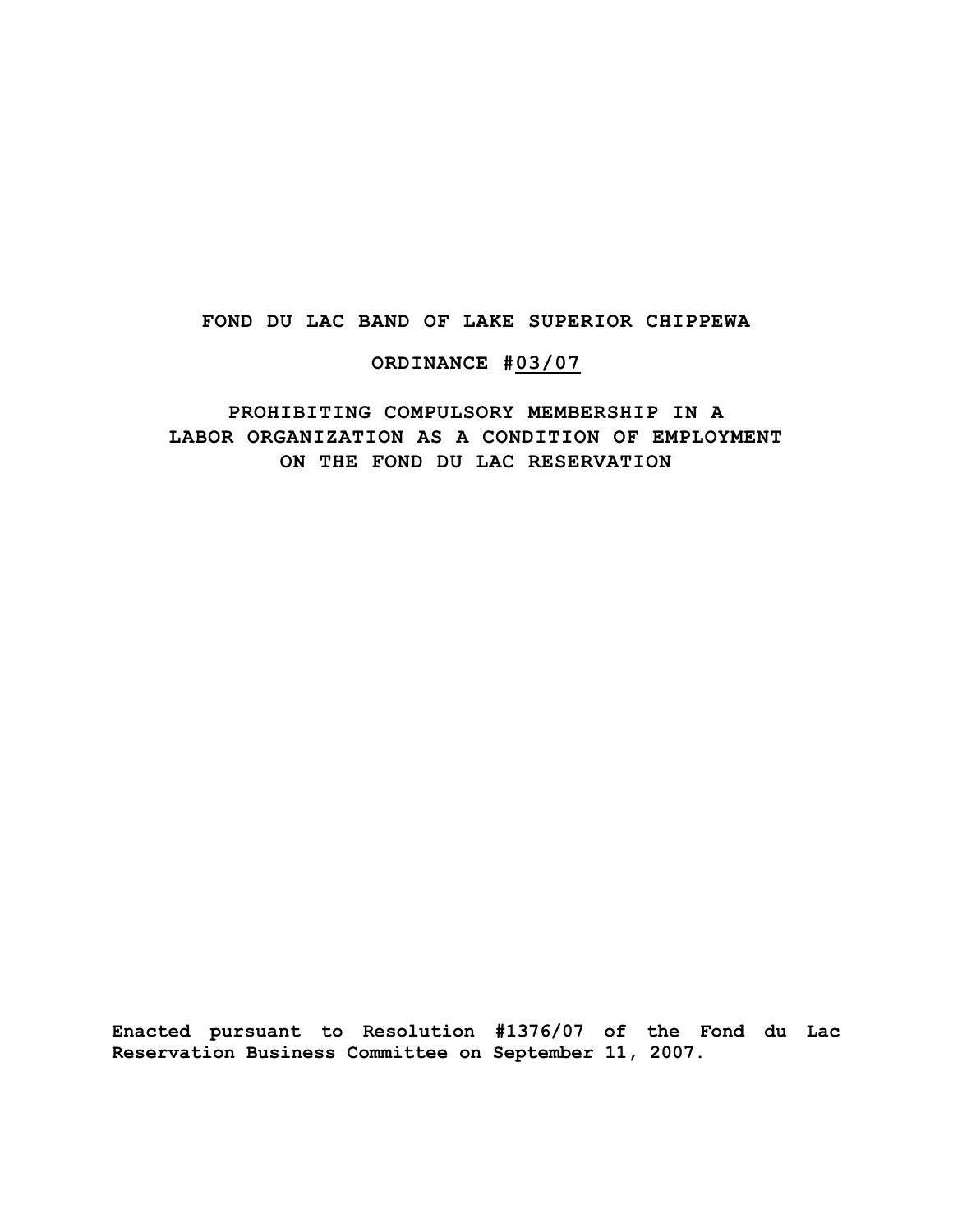## **FOND DU LAC BAND OF LAKE SUPERIOR CHIPPEWA**

## **ORDINANCE #03/07**

## **PROHIBITING COMPULSORY MEMBERSHIP IN A LABOR ORGANIZATION AS A CONDITION OF EMPLOYMENT ON THE FOND DU LAC RESERVATION**

**Enacted pursuant to Resolution #1376/07 of the Fond du Lac Reservation Business Committee on September 11, 2007.**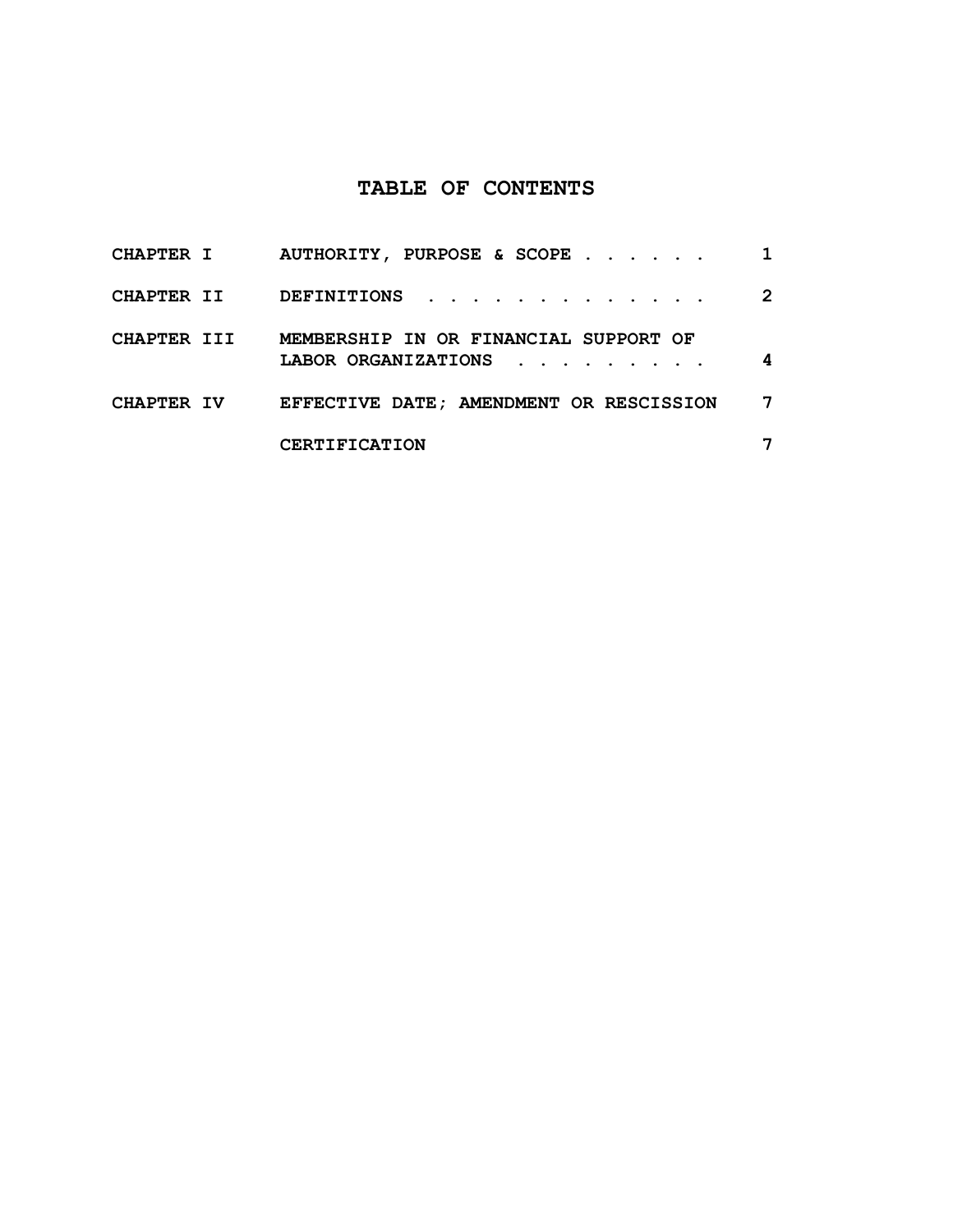# **TABLE OF CONTENTS**

| <b>CHAPTER I</b>  | AUTHORITY, PURPOSE & SCOPE                                   |                       |
|-------------------|--------------------------------------------------------------|-----------------------|
| <b>CHAPTER II</b> | DEFINITIONS                                                  | $\mathbf{2}^{\prime}$ |
| CHAPTER III       | MEMBERSHIP IN OR FINANCIAL SUPPORT OF<br>LABOR ORGANIZATIONS | 4                     |
| <b>CHAPTER IV</b> | EFFECTIVE DATE: AMENDMENT OR RESCISSION                      | 7                     |
|                   | <b>CERTIFICATION</b>                                         |                       |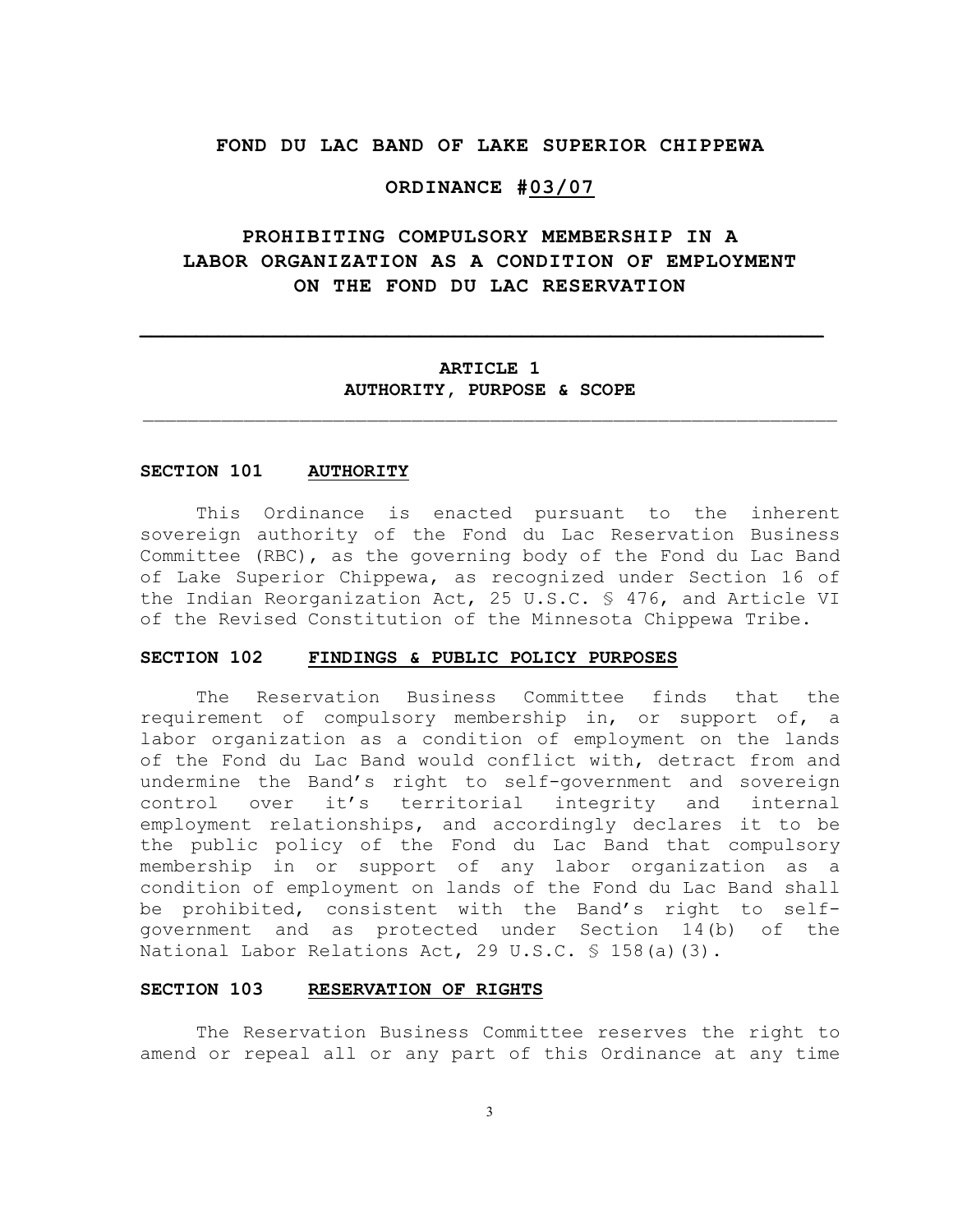## **FOND DU LAC BAND OF LAKE SUPERIOR CHIPPEWA**

### **ORDINANCE #03/07**

## **PROHIBITING COMPULSORY MEMBERSHIP IN A LABOR ORGANIZATION AS A CONDITION OF EMPLOYMENT ON THE FOND DU LAC RESERVATION**

## **ARTICLE 1 AUTHORITY, PURPOSE & SCOPE**  $\mathcal{L}_\text{max} = \frac{1}{2} \sum_{i=1}^n \mathcal{L}_\text{max}(\mathbf{x}_i - \mathbf{y}_i)$

**\_\_\_\_\_\_\_\_\_\_\_\_\_\_\_\_\_\_\_\_\_\_\_\_\_\_\_\_\_\_\_\_\_\_\_\_\_\_\_\_\_\_\_\_\_\_\_\_\_\_\_\_\_\_\_\_\_\_\_\_\_**

#### **SECTION 101 AUTHORITY**

This Ordinance is enacted pursuant to the inherent sovereign authority of the Fond du Lac Reservation Business Committee (RBC), as the governing body of the Fond du Lac Band of Lake Superior Chippewa, as recognized under Section 16 of the Indian Reorganization Act, 25 U.S.C. § 476, and Article VI of the Revised Constitution of the Minnesota Chippewa Tribe.

#### **SECTION 102 FINDINGS & PUBLIC POLICY PURPOSES**

The Reservation Business Committee finds that the requirement of compulsory membership in, or support of, a labor organization as a condition of employment on the lands of the Fond du Lac Band would conflict with, detract from and undermine the Band's right to self-government and sovereign control over it's territorial integrity and internal employment relationships, and accordingly declares it to be the public policy of the Fond du Lac Band that compulsory membership in or support of any labor organization as a condition of employment on lands of the Fond du Lac Band shall be prohibited, consistent with the Band's right to selfgovernment and as protected under Section 14(b) of the National Labor Relations Act, 29 U.S.C. § 158(a)(3).

#### **SECTION 103 RESERVATION OF RIGHTS**

The Reservation Business Committee reserves the right to amend or repeal all or any part of this Ordinance at any time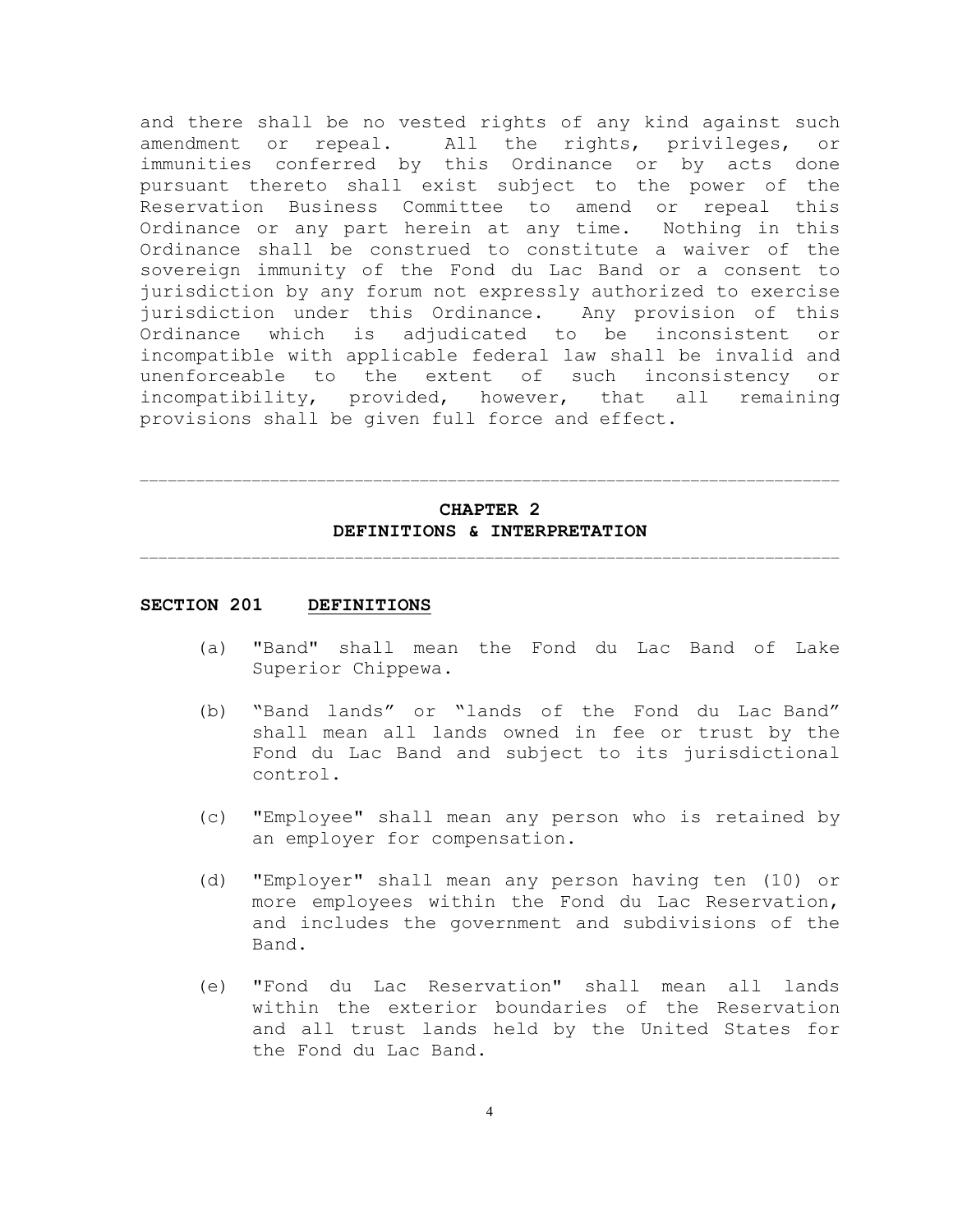and there shall be no vested rights of any kind against such amendment or repeal. All the rights, privileges, or immunities conferred by this Ordinance or by acts done pursuant thereto shall exist subject to the power of the Reservation Business Committee to amend or repeal this Ordinance or any part herein at any time. Nothing in this Ordinance shall be construed to constitute a waiver of the sovereign immunity of the Fond du Lac Band or a consent to jurisdiction by any forum not expressly authorized to exercise jurisdiction under this Ordinance. Any provision of this Ordinance which is adjudicated to be inconsistent or incompatible with applicable federal law shall be invalid and unenforceable to the extent of such inconsistency or incompatibility, provided, however, that all remaining provisions shall be given full force and effect.

## **CHAPTER 2 DEFINITIONS & INTERPRETATION**  $\mathcal{L}_\text{max}$

 $\mathcal{L}_\text{max}$ 

#### **SECTION 201 DEFINITIONS**

- (a) "Band" shall mean the Fond du Lac Band of Lake Superior Chippewa.
- (b) "Band lands" or "lands of the Fond du Lac Band" shall mean all lands owned in fee or trust by the Fond du Lac Band and subject to its jurisdictional control.
- (c) "Employee" shall mean any person who is retained by an employer for compensation.
- (d) "Employer" shall mean any person having ten (10) or more employees within the Fond du Lac Reservation, and includes the government and subdivisions of the Band.
- (e) "Fond du Lac Reservation" shall mean all lands within the exterior boundaries of the Reservation and all trust lands held by the United States for the Fond du Lac Band.

4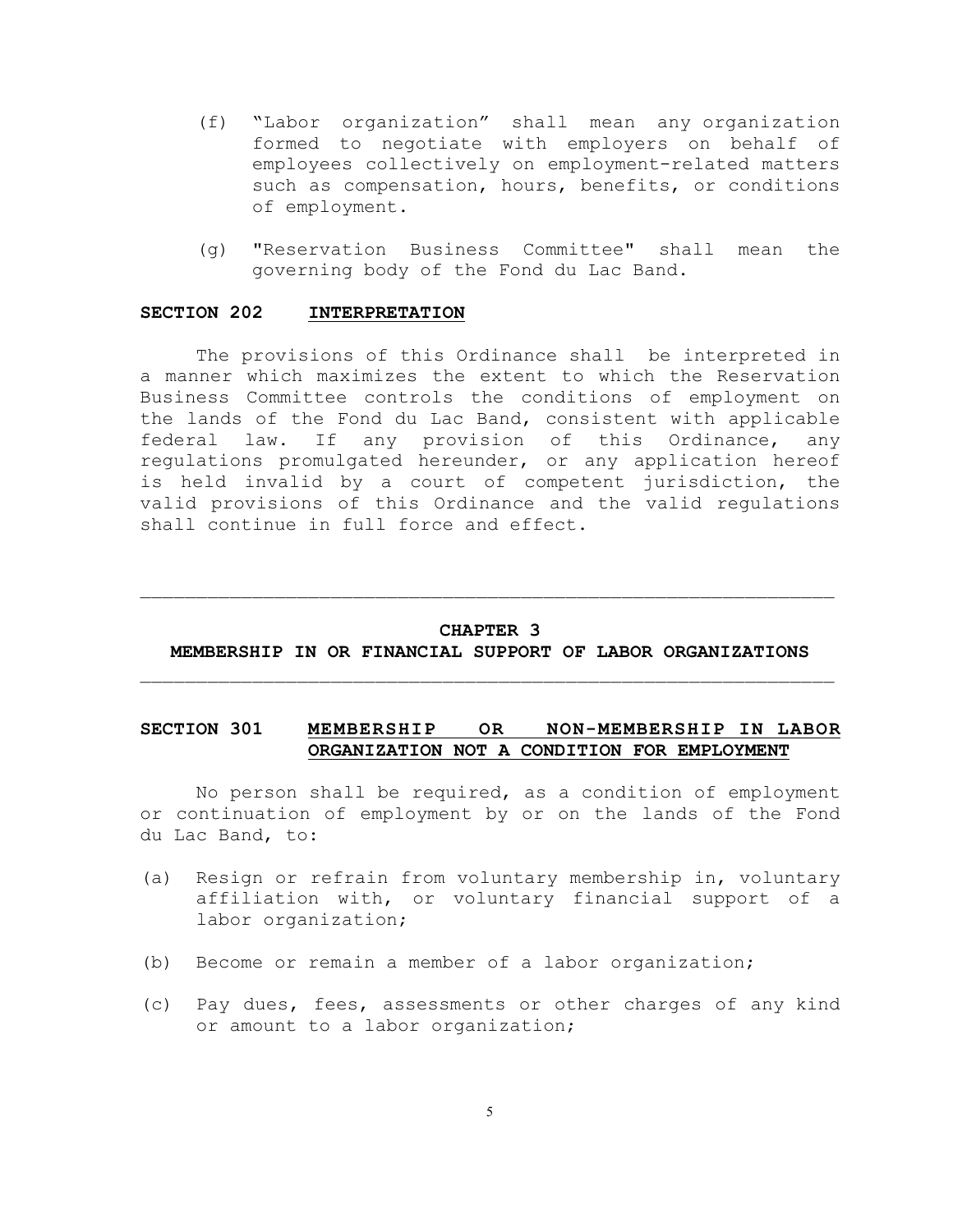- (f) "Labor organization" shall mean any organization formed to negotiate with employers on behalf of employees collectively on employment-related matters such as compensation, hours, benefits, or conditions of employment.
- (g) "Reservation Business Committee" shall mean the governing body of the Fond du Lac Band.

#### **SECTION 202 INTERPRETATION**

The provisions of this Ordinance shall be interpreted in a manner which maximizes the extent to which the Reservation Business Committee controls the conditions of employment on the lands of the Fond du Lac Band, consistent with applicable federal law. If any provision of this Ordinance, any regulations promulgated hereunder, or any application hereof is held invalid by a court of competent jurisdiction, the valid provisions of this Ordinance and the valid regulations shall continue in full force and effect.

## **CHAPTER 3 MEMBERSHIP IN OR FINANCIAL SUPPORT OF LABOR ORGANIZATIONS**

 $\mathcal{L}_\text{max} = \frac{1}{2} \sum_{i=1}^n \mathcal{L}_\text{max}(\mathbf{x}_i - \mathbf{y}_i)$ 

 $\mathcal{L}_\text{max} = \frac{1}{2} \sum_{i=1}^n \mathcal{L}_\text{max}(\mathbf{x}_i - \mathbf{y}_i)$ 

## **SECTION 301 MEMBERSHIP OR NON-MEMBERSHIP IN LABOR ORGANIZATION NOT A CONDITION FOR EMPLOYMENT**

No person shall be required, as a condition of employment or continuation of employment by or on the lands of the Fond du Lac Band, to:

- (a) Resign or refrain from voluntary membership in, voluntary affiliation with, or voluntary financial support of a labor organization;
- (b) Become or remain a member of a labor organization;
- (c) Pay dues, fees, assessments or other charges of any kind or amount to a labor organization;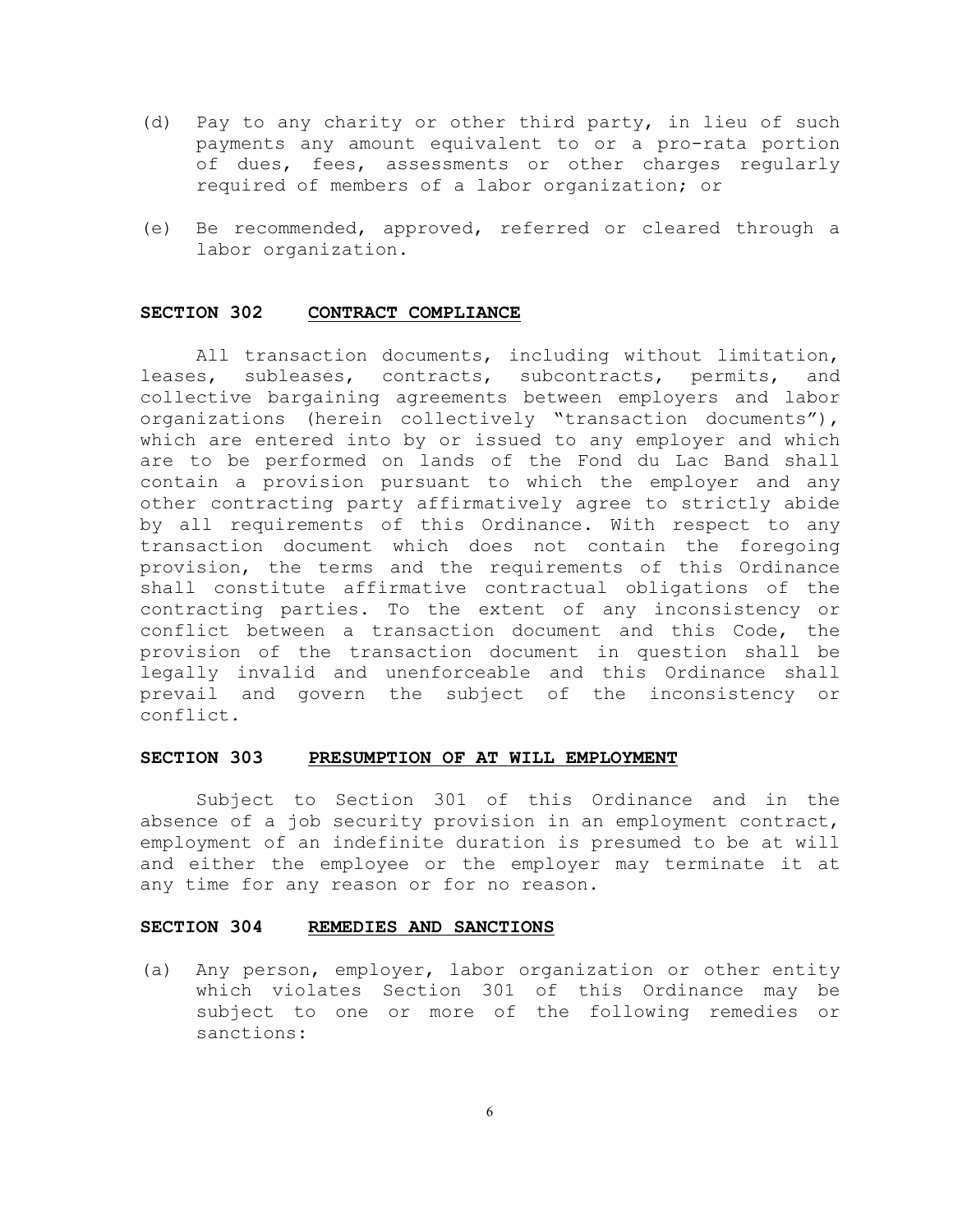- (d) Pay to any charity or other third party, in lieu of such payments any amount equivalent to or a pro-rata portion of dues, fees, assessments or other charges regularly required of members of a labor organization; or
- (e) Be recommended, approved, referred or cleared through a labor organization.

#### **SECTION 302 CONTRACT COMPLIANCE**

All transaction documents, including without limitation, leases, subleases, contracts, subcontracts, permits, and collective bargaining agreements between employers and labor organizations (herein collectively "transaction documents"), which are entered into by or issued to any employer and which are to be performed on lands of the Fond du Lac Band shall contain a provision pursuant to which the employer and any other contracting party affirmatively agree to strictly abide by all requirements of this Ordinance. With respect to any transaction document which does not contain the foregoing provision, the terms and the requirements of this Ordinance shall constitute affirmative contractual obligations of the contracting parties. To the extent of any inconsistency or conflict between a transaction document and this Code, the provision of the transaction document in question shall be legally invalid and unenforceable and this Ordinance shall prevail and govern the subject of the inconsistency or conflict.

#### **SECTION 303 PRESUMPTION OF AT WILL EMPLOYMENT**

Subject to Section 301 of this Ordinance and in the absence of a job security provision in an employment contract, employment of an indefinite duration is presumed to be at will and either the employee or the employer may terminate it at any time for any reason or for no reason.

#### **SECTION 304 REMEDIES AND SANCTIONS**

(a) Any person, employer, labor organization or other entity which violates Section 301 of this Ordinance may be subject to one or more of the following remedies or sanctions: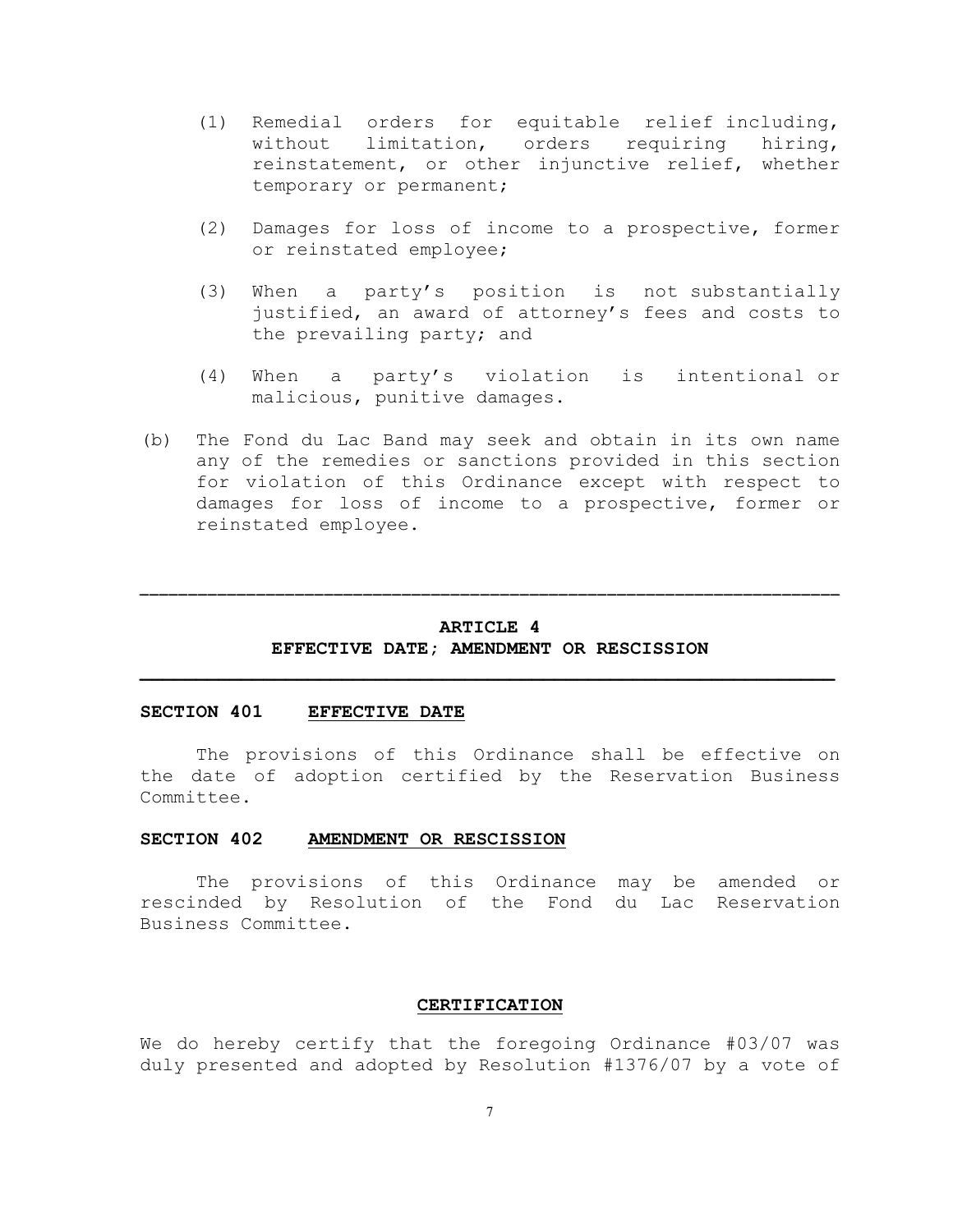- (1) Remedial orders for equitable relief including, without limitation, orders requiring hiring, reinstatement, or other injunctive relief, whether temporary or permanent;
- (2) Damages for loss of income to a prospective, former or reinstated employee;
- (3) When a party's position is not substantially justified, an award of attorney's fees and costs to the prevailing party; and
- (4) When a party's violation is intentional or malicious, punitive damages.
- (b) The Fond du Lac Band may seek and obtain in its own name any of the remedies or sanctions provided in this section for violation of this Ordinance except with respect to damages for loss of income to a prospective, former or reinstated employee.

### **ARTICLE 4 EFFECTIVE DATE; AMENDMENT OR RESCISSION**

**\_\_\_\_\_\_\_\_\_\_\_\_\_\_\_\_\_\_\_\_\_\_\_\_\_\_\_\_\_\_\_\_\_\_\_\_\_\_\_\_\_\_\_\_\_\_\_\_\_\_\_\_\_\_\_\_\_\_\_\_\_\_**

**\_\_\_\_\_\_\_\_\_\_\_\_\_\_\_\_\_\_\_\_\_\_\_\_\_\_\_\_\_\_\_\_\_\_\_\_\_\_\_\_\_\_\_\_\_\_\_\_\_\_\_\_\_\_\_\_\_\_\_\_\_\_\_\_\_\_\_\_\_\_\_\_**

### **SECTION 401 EFFECTIVE DATE**

The provisions of this Ordinance shall be effective on the date of adoption certified by the Reservation Business Committee.

## **SECTION 402 AMENDMENT OR RESCISSION**

The provisions of this Ordinance may be amended or rescinded by Resolution of the Fond du Lac Reservation Business Committee.

#### **CERTIFICATION**

We do hereby certify that the foregoing Ordinance #03/07 was duly presented and adopted by Resolution #1376/07 by a vote of